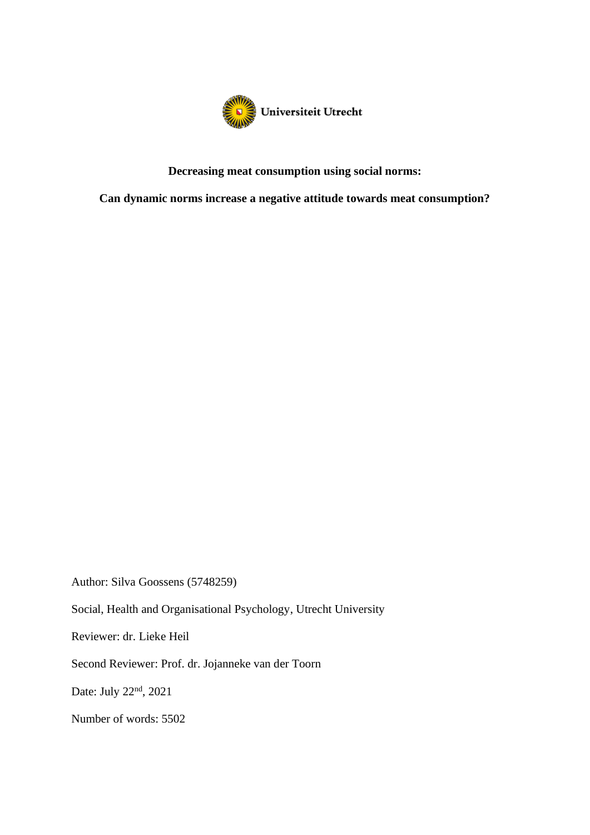

# **Decreasing meat consumption using social norms:**

**Can dynamic norms increase a negative attitude towards meat consumption?**

Author: Silva Goossens (5748259)

Social, Health and Organisational Psychology, Utrecht University

Reviewer: dr. Lieke Heil

Second Reviewer: Prof. dr. Jojanneke van der Toorn

Date: July 22nd, 2021

Number of words: 5502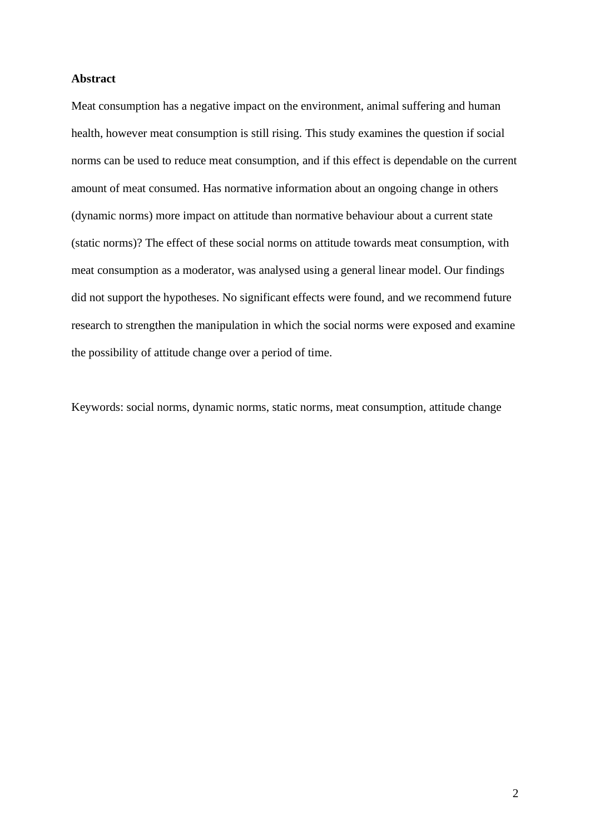## **Abstract**

Meat consumption has a negative impact on the environment, animal suffering and human health, however meat consumption is still rising. This study examines the question if social norms can be used to reduce meat consumption, and if this effect is dependable on the current amount of meat consumed. Has normative information about an ongoing change in others (dynamic norms) more impact on attitude than normative behaviour about a current state (static norms)? The effect of these social norms on attitude towards meat consumption, with meat consumption as a moderator, was analysed using a general linear model. Our findings did not support the hypotheses. No significant effects were found, and we recommend future research to strengthen the manipulation in which the social norms were exposed and examine the possibility of attitude change over a period of time.

Keywords: social norms, dynamic norms, static norms, meat consumption, attitude change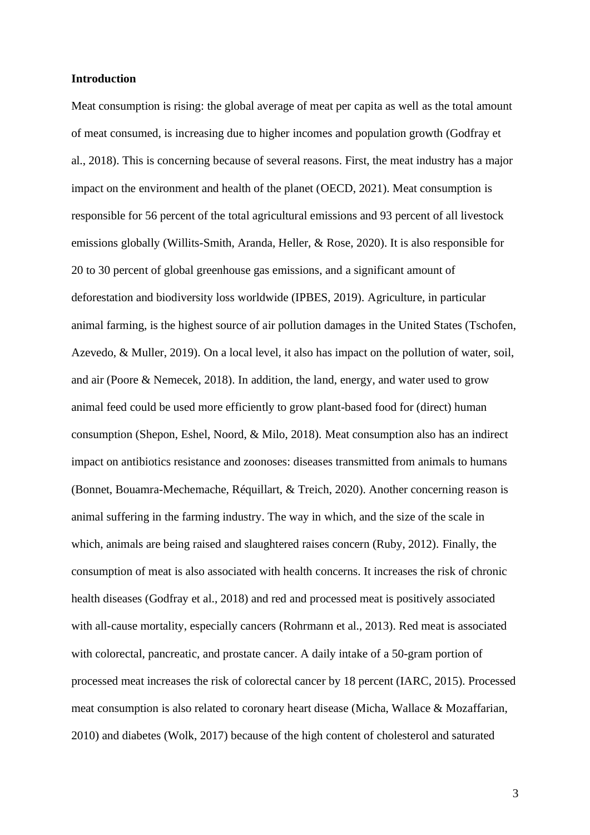### **Introduction**

Meat consumption is rising: the global average of meat per capita as well as the total amount of meat consumed, is increasing due to higher incomes and population growth (Godfray et al., 2018). This is concerning because of several reasons. First, the meat industry has a major impact on the environment and health of the planet (OECD, 2021). Meat consumption is responsible for 56 percent of the total agricultural emissions and 93 percent of all livestock emissions globally (Willits-Smith, Aranda, Heller, & Rose, 2020). It is also responsible for 20 to 30 percent of global greenhouse gas emissions, and a significant amount of deforestation and biodiversity loss worldwide (IPBES, 2019). Agriculture, in particular animal farming, is the highest source of air pollution damages in the United States (Tschofen, Azevedo, & Muller, 2019). On a local level, it also has impact on the pollution of water, soil, and air (Poore & Nemecek, 2018). In addition, the land, energy, and water used to grow animal feed could be used more efficiently to grow plant-based food for (direct) human consumption (Shepon, Eshel, Noord, & Milo, 2018). Meat consumption also has an indirect impact on antibiotics resistance and zoonoses: diseases transmitted from animals to humans (Bonnet, Bouamra-Mechemache, Réquillart, & Treich, 2020). Another concerning reason is animal suffering in the farming industry. The way in which, and the size of the scale in which, animals are being raised and slaughtered raises concern (Ruby, 2012). Finally, the consumption of meat is also associated with health concerns. It increases the risk of chronic health diseases (Godfray et al., 2018) and red and processed meat is positively associated with all-cause mortality, especially cancers (Rohrmann et al., 2013). Red meat is associated with colorectal, pancreatic, and prostate cancer. A daily intake of a 50-gram portion of processed meat increases the risk of colorectal cancer by 18 percent (IARC, 2015). Processed meat consumption is also related to coronary heart disease (Micha, Wallace & Mozaffarian, 2010) and diabetes (Wolk, 2017) because of the high content of cholesterol and saturated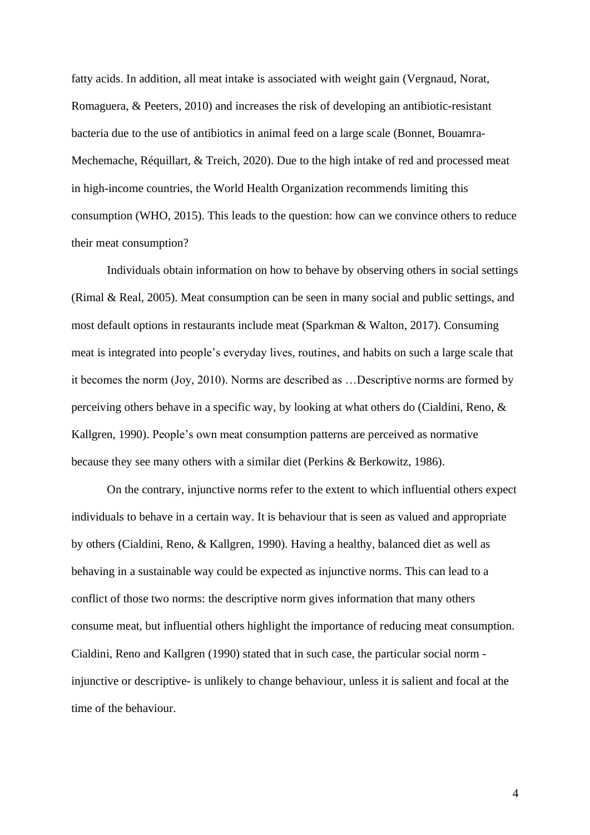fatty acids. In addition, all meat intake is associated with weight gain (Vergnaud, Norat, Romaguera, & Peeters, 2010) and increases the risk of developing an antibiotic-resistant bacteria due to the use of antibiotics in animal feed on a large scale (Bonnet, Bouamra-Mechemache, Réquillart, & Treich, 2020). Due to the high intake of red and processed meat in high-income countries, the World Health Organization recommends limiting this consumption (WHO, 2015). This leads to the question: how can we convince others to reduce their meat consumption?

Individuals obtain information on how to behave by observing others in social settings (Rimal & Real, 2005). Meat consumption can be seen in many social and public settings, and most default options in restaurants include meat (Sparkman & Walton, 2017). Consuming meat is integrated into people's everyday lives, routines, and habits on such a large scale that it becomes the norm (Joy, 2010). Norms are described as …Descriptive norms are formed by perceiving others behave in a specific way, by looking at what others do (Cialdini, Reno, & Kallgren, 1990). People's own meat consumption patterns are perceived as normative because they see many others with a similar diet (Perkins & Berkowitz, 1986).

On the contrary, injunctive norms refer to the extent to which influential others expect individuals to behave in a certain way. It is behaviour that is seen as valued and appropriate by others (Cialdini, Reno, & Kallgren, 1990). Having a healthy, balanced diet as well as behaving in a sustainable way could be expected as injunctive norms. This can lead to a conflict of those two norms: the descriptive norm gives information that many others consume meat, but influential others highlight the importance of reducing meat consumption. Cialdini, Reno and Kallgren (1990) stated that in such case, the particular social norm injunctive or descriptive- is unlikely to change behaviour, unless it is salient and focal at the time of the behaviour.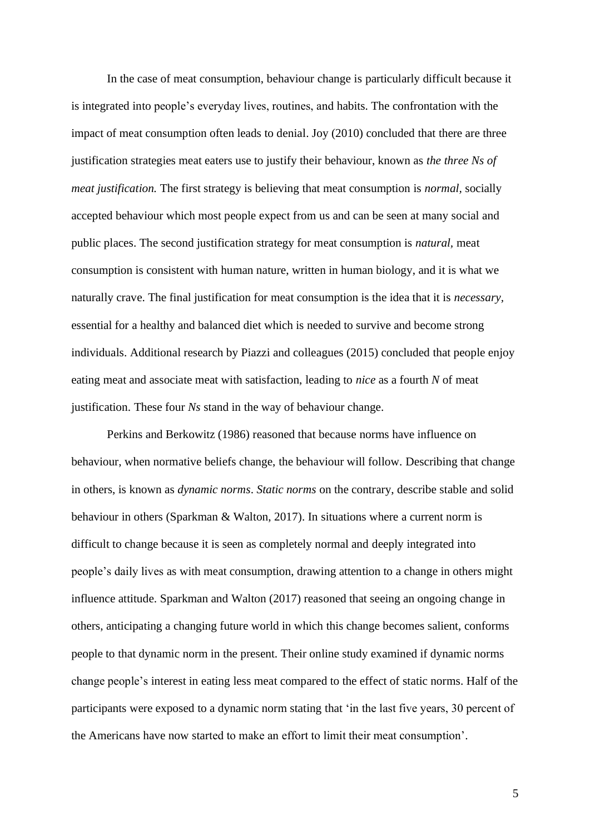In the case of meat consumption, behaviour change is particularly difficult because it is integrated into people's everyday lives, routines, and habits. The confrontation with the impact of meat consumption often leads to denial. Joy (2010) concluded that there are three justification strategies meat eaters use to justify their behaviour, known as *the three Ns of meat justification.* The first strategy is believing that meat consumption is *normal,* socially accepted behaviour which most people expect from us and can be seen at many social and public places. The second justification strategy for meat consumption is *natural,* meat consumption is consistent with human nature, written in human biology, and it is what we naturally crave. The final justification for meat consumption is the idea that it is *necessary,* essential for a healthy and balanced diet which is needed to survive and become strong individuals. Additional research by Piazzi and colleagues (2015) concluded that people enjoy eating meat and associate meat with satisfaction, leading to *nice* as a fourth *N* of meat justification. These four *Ns* stand in the way of behaviour change.

Perkins and Berkowitz (1986) reasoned that because norms have influence on behaviour, when normative beliefs change, the behaviour will follow. Describing that change in others, is known as *dynamic norms*. *Static norms* on the contrary, describe stable and solid behaviour in others (Sparkman & Walton, 2017). In situations where a current norm is difficult to change because it is seen as completely normal and deeply integrated into people's daily lives as with meat consumption, drawing attention to a change in others might influence attitude. Sparkman and Walton (2017) reasoned that seeing an ongoing change in others, anticipating a changing future world in which this change becomes salient, conforms people to that dynamic norm in the present. Their online study examined if dynamic norms change people's interest in eating less meat compared to the effect of static norms. Half of the participants were exposed to a dynamic norm stating that 'in the last five years, 30 percent of the Americans have now started to make an effort to limit their meat consumption'.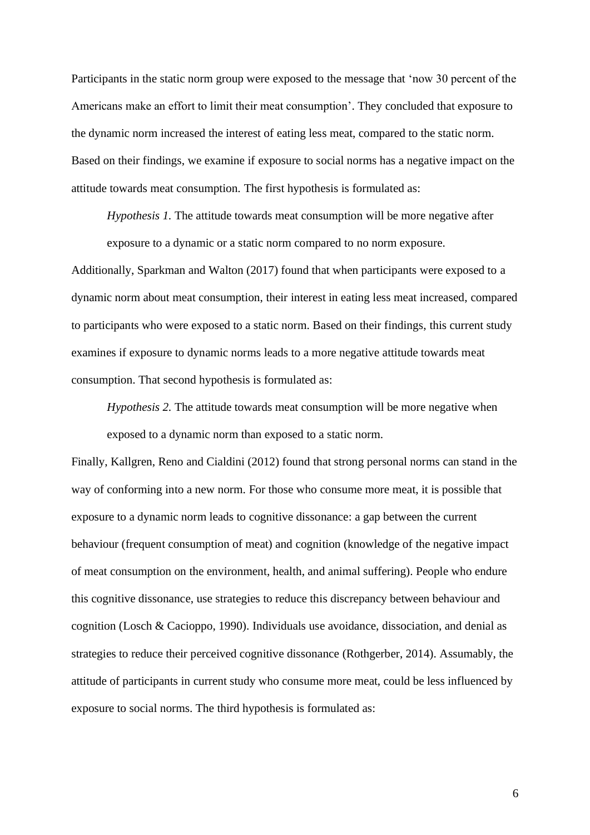Participants in the static norm group were exposed to the message that 'now 30 percent of the Americans make an effort to limit their meat consumption'. They concluded that exposure to the dynamic norm increased the interest of eating less meat, compared to the static norm. Based on their findings, we examine if exposure to social norms has a negative impact on the attitude towards meat consumption. The first hypothesis is formulated as:

*Hypothesis 1.* The attitude towards meat consumption will be more negative after exposure to a dynamic or a static norm compared to no norm exposure.

Additionally, Sparkman and Walton (2017) found that when participants were exposed to a dynamic norm about meat consumption, their interest in eating less meat increased, compared to participants who were exposed to a static norm. Based on their findings, this current study examines if exposure to dynamic norms leads to a more negative attitude towards meat consumption. That second hypothesis is formulated as:

*Hypothesis 2.* The attitude towards meat consumption will be more negative when exposed to a dynamic norm than exposed to a static norm.

Finally, Kallgren, Reno and Cialdini (2012) found that strong personal norms can stand in the way of conforming into a new norm. For those who consume more meat, it is possible that exposure to a dynamic norm leads to cognitive dissonance: a gap between the current behaviour (frequent consumption of meat) and cognition (knowledge of the negative impact of meat consumption on the environment, health, and animal suffering). People who endure this cognitive dissonance, use strategies to reduce this discrepancy between behaviour and cognition (Losch & Cacioppo, 1990). Individuals use avoidance, dissociation, and denial as strategies to reduce their perceived cognitive dissonance (Rothgerber, 2014). Assumably, the attitude of participants in current study who consume more meat, could be less influenced by exposure to social norms. The third hypothesis is formulated as: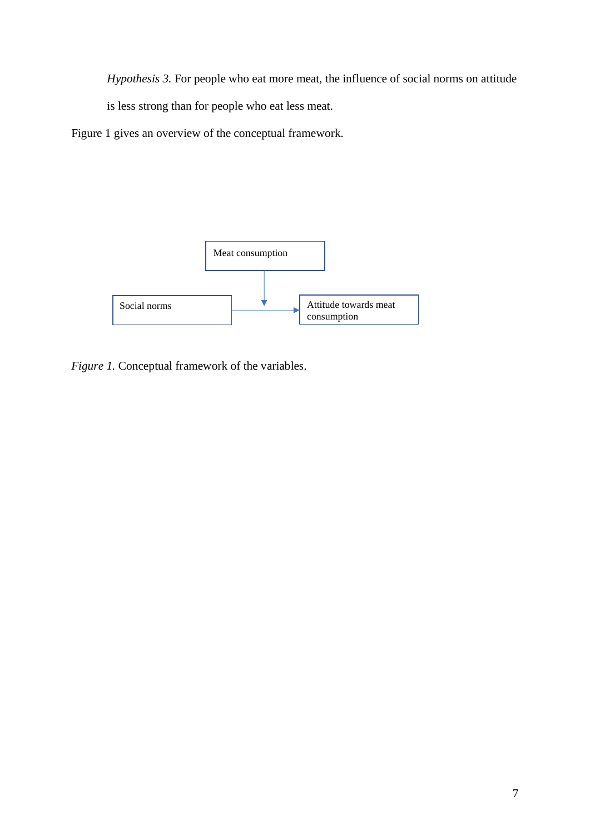*Hypothesis 3.* For people who eat more meat, the influence of social norms on attitude

is less strong than for people who eat less meat.

Figure 1 gives an overview of the conceptual framework.



*Figure 1.* Conceptual framework of the variables.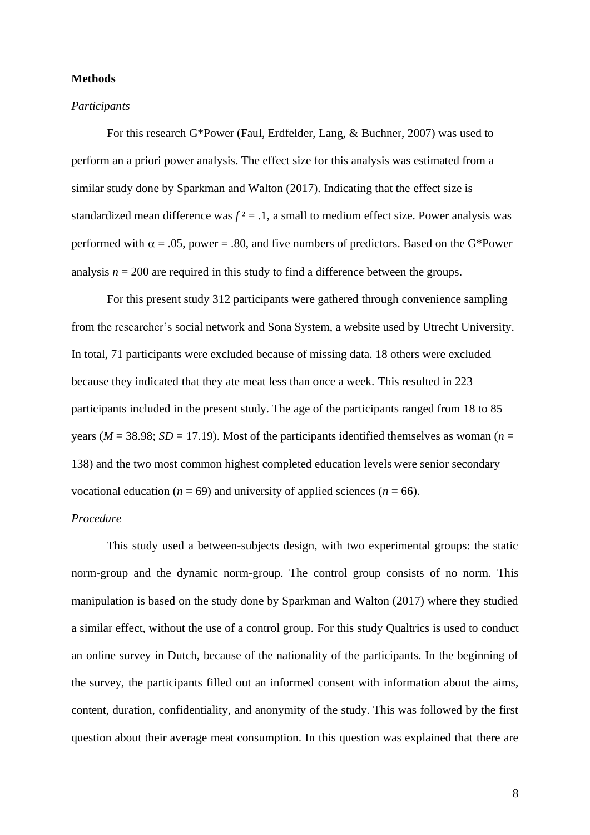## **Methods**

## *Participants*

For this research G\*Power (Faul, Erdfelder, Lang, & Buchner, 2007) was used to perform an a priori power analysis. The effect size for this analysis was estimated from a similar study done by Sparkman and Walton (2017). Indicating that the effect size is standardized mean difference was  $f^2 = 0.1$ , a small to medium effect size. Power analysis was performed with  $\alpha = .05$ , power = .80, and five numbers of predictors. Based on the G\*Power analysis  $n = 200$  are required in this study to find a difference between the groups.

For this present study 312 participants were gathered through convenience sampling from the researcher's social network and Sona System, a website used by Utrecht University. In total, 71 participants were excluded because of missing data. 18 others were excluded because they indicated that they ate meat less than once a week. This resulted in 223 participants included in the present study. The age of the participants ranged from 18 to 85 years ( $M = 38.98$ ;  $SD = 17.19$ ). Most of the participants identified themselves as woman ( $n =$ 138) and the two most common highest completed education levels were senior secondary vocational education ( $n = 69$ ) and university of applied sciences ( $n = 66$ ).

# *Procedure*

This study used a between-subjects design, with two experimental groups: the static norm-group and the dynamic norm-group. The control group consists of no norm. This manipulation is based on the study done by Sparkman and Walton (2017) where they studied a similar effect, without the use of a control group. For this study Qualtrics is used to conduct an online survey in Dutch, because of the nationality of the participants. In the beginning of the survey, the participants filled out an informed consent with information about the aims, content, duration, confidentiality, and anonymity of the study. This was followed by the first question about their average meat consumption. In this question was explained that there are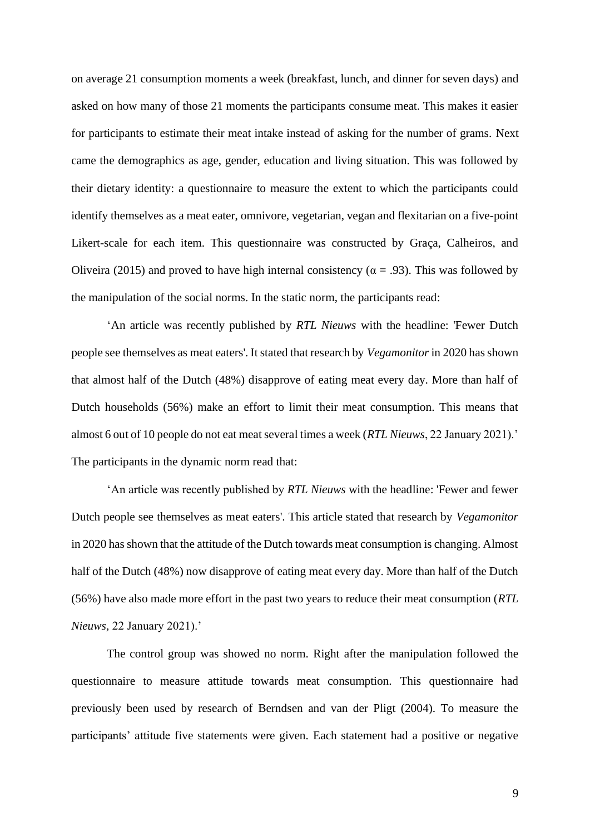on average 21 consumption moments a week (breakfast, lunch, and dinner for seven days) and asked on how many of those 21 moments the participants consume meat. This makes it easier for participants to estimate their meat intake instead of asking for the number of grams. Next came the demographics as age, gender, education and living situation. This was followed by their dietary identity: a questionnaire to measure the extent to which the participants could identify themselves as a meat eater, omnivore, vegetarian, vegan and flexitarian on a five-point Likert-scale for each item. This questionnaire was constructed by Graça, Calheiros, and Oliveira (2015) and proved to have high internal consistency ( $\alpha$  = .93). This was followed by the manipulation of the social norms. In the static norm, the participants read:

'An article was recently published by *RTL Nieuws* with the headline: 'Fewer Dutch people see themselves as meat eaters'. It stated that research by *Vegamonitor* in 2020 has shown that almost half of the Dutch (48%) disapprove of eating meat every day. More than half of Dutch households (56%) make an effort to limit their meat consumption. This means that almost 6 out of 10 people do not eat meat several times a week (*RTL Nieuws*, 22 January 2021).' The participants in the dynamic norm read that:

'An article was recently published by *RTL Nieuws* with the headline: 'Fewer and fewer Dutch people see themselves as meat eaters'. This article stated that research by *Vegamonitor* in 2020 has shown that the attitude of the Dutch towards meat consumption is changing. Almost half of the Dutch (48%) now disapprove of eating meat every day. More than half of the Dutch (56%) have also made more effort in the past two years to reduce their meat consumption (*RTL Nieuws,* 22 January 2021).'

The control group was showed no norm. Right after the manipulation followed the questionnaire to measure attitude towards meat consumption. This questionnaire had previously been used by research of Berndsen and van der Pligt (2004). To measure the participants' attitude five statements were given. Each statement had a positive or negative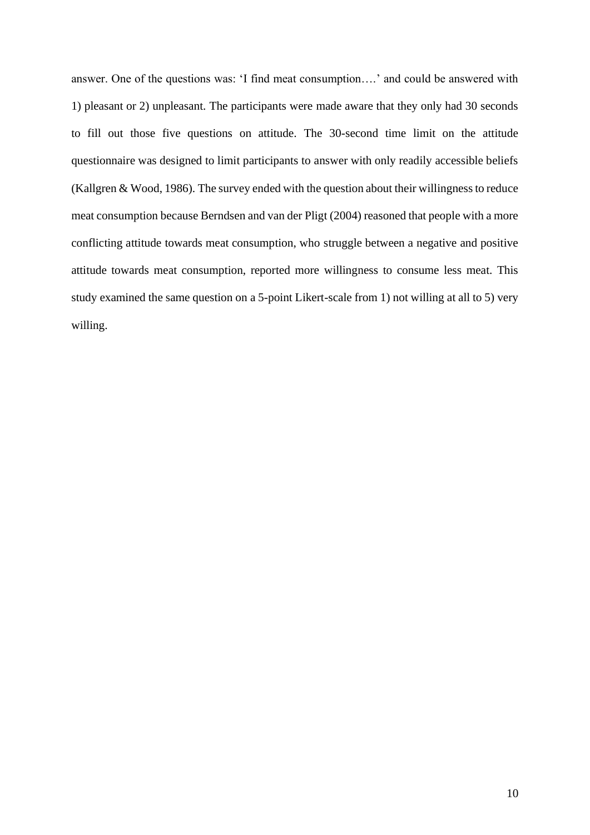answer. One of the questions was: 'I find meat consumption….' and could be answered with 1) pleasant or 2) unpleasant. The participants were made aware that they only had 30 seconds to fill out those five questions on attitude. The 30-second time limit on the attitude questionnaire was designed to limit participants to answer with only readily accessible beliefs (Kallgren & Wood, 1986). The survey ended with the question about their willingness to reduce meat consumption because Berndsen and van der Pligt (2004) reasoned that people with a more conflicting attitude towards meat consumption, who struggle between a negative and positive attitude towards meat consumption, reported more willingness to consume less meat. This study examined the same question on a 5-point Likert-scale from 1) not willing at all to 5) very willing.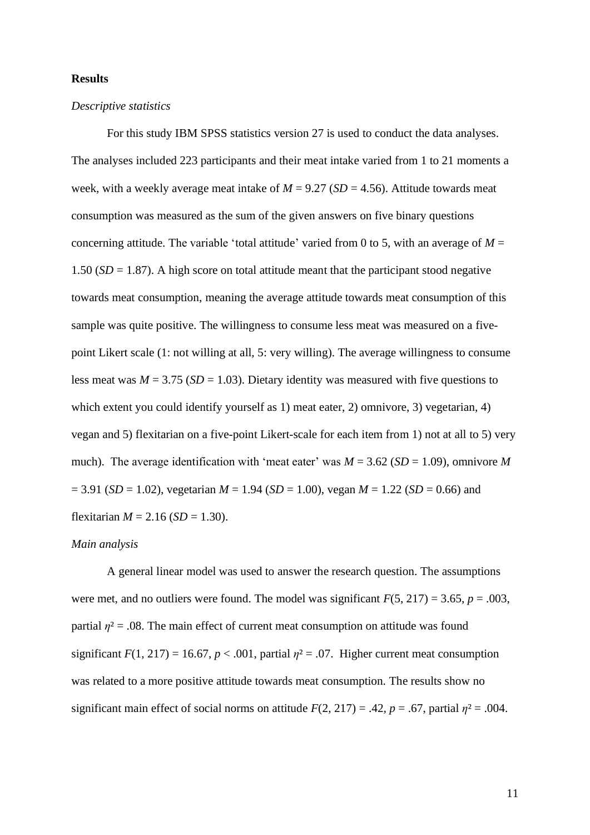## **Results**

### *Descriptive statistics*

For this study IBM SPSS statistics version 27 is used to conduct the data analyses. The analyses included 223 participants and their meat intake varied from 1 to 21 moments a week, with a weekly average meat intake of  $M = 9.27$  (*SD* = 4.56). Attitude towards meat consumption was measured as the sum of the given answers on five binary questions concerning attitude. The variable 'total attitude' varied from 0 to 5, with an average of  $M =$ 1.50 (*SD* = 1.87). A high score on total attitude meant that the participant stood negative towards meat consumption, meaning the average attitude towards meat consumption of this sample was quite positive. The willingness to consume less meat was measured on a fivepoint Likert scale (1: not willing at all, 5: very willing). The average willingness to consume less meat was  $M = 3.75$  ( $SD = 1.03$ ). Dietary identity was measured with five questions to which extent you could identify yourself as 1) meat eater, 2) omnivore, 3) vegetarian, 4) vegan and 5) flexitarian on a five-point Likert-scale for each item from 1) not at all to 5) very much). The average identification with 'meat eater' was  $M = 3.62$  (*SD* = 1.09), omnivore *M*  $= 3.91$  (*SD* = 1.02), vegetarian *M* = 1.94 (*SD* = 1.00), vegan *M* = 1.22 (*SD* = 0.66) and flexitarian  $M = 2.16$  (*SD* = 1.30).

#### *Main analysis*

A general linear model was used to answer the research question. The assumptions were met, and no outliers were found. The model was significant  $F(5, 217) = 3.65$ ,  $p = .003$ , partial *η*² = .08. The main effect of current meat consumption on attitude was found significant  $F(1, 217) = 16.67$ ,  $p < .001$ , partial  $\eta^2 = .07$ . Higher current meat consumption was related to a more positive attitude towards meat consumption. The results show no significant main effect of social norms on attitude  $F(2, 217) = .42$ ,  $p = .67$ , partial  $\eta^2 = .004$ .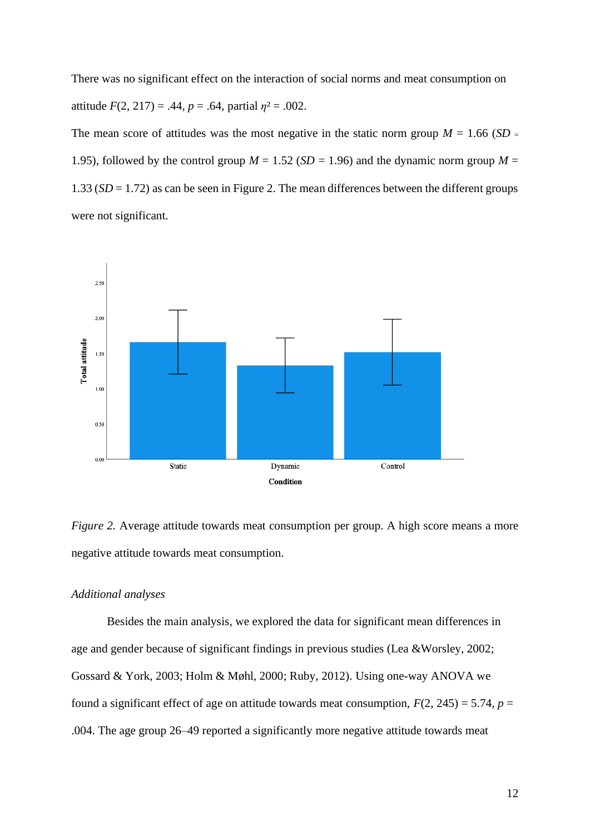There was no significant effect on the interaction of social norms and meat consumption on attitude  $F(2, 217) = .44$ ,  $p = .64$ , partial  $\eta^2 = .002$ .

The mean score of attitudes was the most negative in the static norm group  $M = 1.66$  (*SD* = 1.95), followed by the control group  $M = 1.52$  (*SD* = 1.96) and the dynamic norm group  $M =$ 1.33 (*SD* = 1.72) as can be seen in Figure 2. The mean differences between the different groups were not significant.



*Figure 2.* Average attitude towards meat consumption per group. A high score means a more negative attitude towards meat consumption.

# *Additional analyses*

Besides the main analysis, we explored the data for significant mean differences in age and gender because of significant findings in previous studies (Lea &Worsley, 2002; Gossard & York, 2003; Holm & Møhl, 2000; Ruby, 2012). Using one-way ANOVA we found a significant effect of age on attitude towards meat consumption,  $F(2, 245) = 5.74$ ,  $p =$ .004. The age group 26–49 reported a significantly more negative attitude towards meat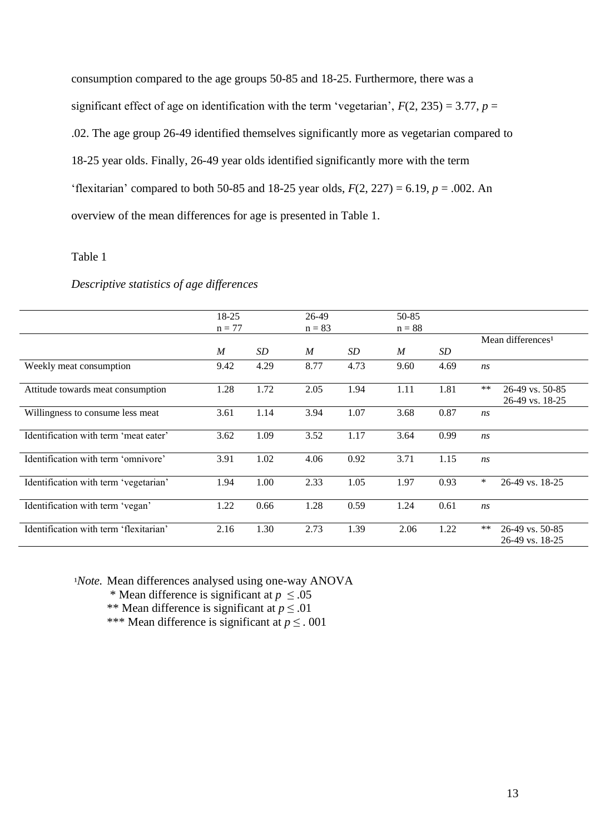consumption compared to the age groups 50-85 and 18-25. Furthermore, there was a significant effect of age on identification with the term 'vegetarian',  $F(2, 235) = 3.77$ ,  $p =$ .02. The age group 26-49 identified themselves significantly more as vegetarian compared to 18-25 year olds. Finally, 26-49 year olds identified significantly more with the term 'flexitarian' compared to both 50-85 and 18-25 year olds,  $F(2, 227) = 6.19$ ,  $p = .002$ . An overview of the mean differences for age is presented in Table 1.

# Table 1

|                                        | $18-25$<br>$n = 77$ |      | 26-49<br>$n = 83$ |      | $50 - 85$<br>$n = 88$ |      |        |                                    |
|----------------------------------------|---------------------|------|-------------------|------|-----------------------|------|--------|------------------------------------|
|                                        |                     |      |                   |      |                       |      |        |                                    |
|                                        |                     |      |                   |      |                       |      |        | Mean differences <sup>1</sup>      |
|                                        | $\boldsymbol{M}$    | SD   | $\boldsymbol{M}$  | SD   | $\boldsymbol{M}$      | SD   |        |                                    |
| Weekly meat consumption                | 9.42                | 4.29 | 8.77              | 4.73 | 9.60                  | 4.69 | ns     |                                    |
| Attitude towards meat consumption      | 1.28                | 1.72 | 2.05              | 1.94 | 1.11                  | 1.81 | $***$  | 26-49 vs. 50-85<br>26-49 vs. 18-25 |
| Willingness to consume less meat       | 3.61                | 1.14 | 3.94              | 1.07 | 3.68                  | 0.87 | ns     |                                    |
| Identification with term 'meat eater'  | 3.62                | 1.09 | 3.52              | 1.17 | 3.64                  | 0.99 | ns     |                                    |
| Identification with term 'omnivore'    | 3.91                | 1.02 | 4.06              | 0.92 | 3.71                  | 1.15 | ns     |                                    |
| Identification with term 'vegetarian'  | 1.94                | 1.00 | 2.33              | 1.05 | 1.97                  | 0.93 | $\ast$ | 26-49 vs. 18-25                    |
| Identification with term 'vegan'       | 1.22                | 0.66 | 1.28              | 0.59 | 1.24                  | 0.61 | ns     |                                    |
| Identification with term 'flexitarian' | 2.16                | 1.30 | 2.73              | 1.39 | 2.06                  | 1.22 | $***$  | 26-49 vs. 50-85<br>26-49 vs. 18-25 |

*Descriptive statistics of age differences*

<sup>1</sup>Note. Mean differences analysed using one-way ANOVA

\* Mean difference is significant at *p* ≤ .05

\*\* Mean difference is significant at *p* ≤ .01

\*\*\* Mean difference is significant at *p* ≤ . 001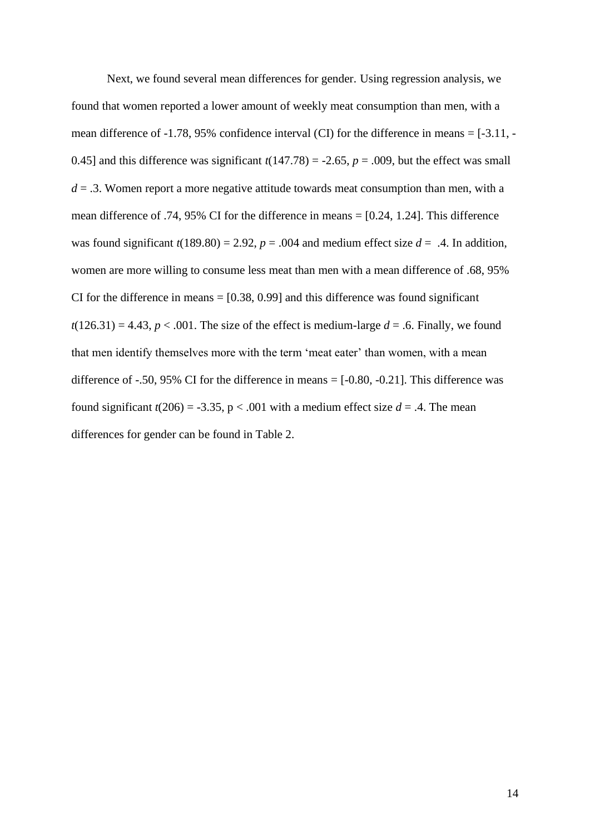Next, we found several mean differences for gender. Using regression analysis, we found that women reported a lower amount of weekly meat consumption than men, with a mean difference of -1.78, 95% confidence interval (CI) for the difference in means = [-3.11, - 0.45] and this difference was significant  $t(147.78) = -2.65$ ,  $p = .009$ , but the effect was small  $d = 0.3$ . Women report a more negative attitude towards meat consumption than men, with a mean difference of .74, 95% CI for the difference in means = [0.24, 1.24]. This difference was found significant  $t(189.80) = 2.92$ ,  $p = .004$  and medium effect size  $d = .4$ . In addition, women are more willing to consume less meat than men with a mean difference of .68, 95% CI for the difference in means  $=[0.38, 0.99]$  and this difference was found significant  $t(126.31) = 4.43$ ,  $p < .001$ . The size of the effect is medium-large  $d = .6$ . Finally, we found that men identify themselves more with the term 'meat eater' than women, with a mean difference of  $-.50$ , 95% CI for the difference in means  $=[-0.80, -0.21]$ . This difference was found significant  $t(206) = -3.35$ ,  $p < .001$  with a medium effect size  $d = .4$ . The mean differences for gender can be found in Table 2.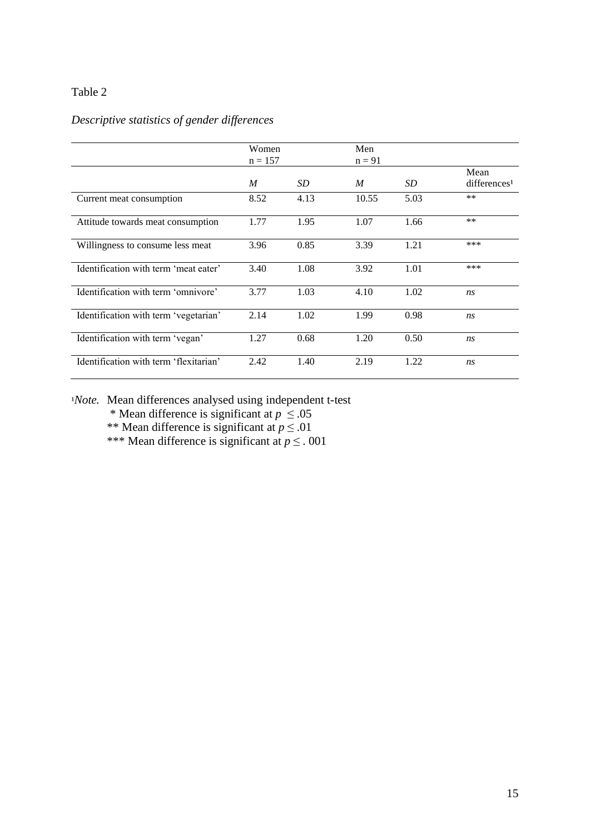# Table 2

# *Descriptive statistics of gender differences*

|                                        | Women     |      | Men      |      |                          |
|----------------------------------------|-----------|------|----------|------|--------------------------|
|                                        | $n = 157$ |      | $n = 91$ |      |                          |
|                                        |           |      |          |      | Mean                     |
|                                        | M         | SD   | M        | SD   | differences <sup>1</sup> |
| Current meat consumption               | 8.52      | 4.13 | 10.55    | 5.03 | $**$                     |
| Attitude towards meat consumption      | 1.77      | 1.95 | 1.07     | 1.66 | $**$                     |
| Willingness to consume less meat       | 3.96      | 0.85 | 3.39     | 1.21 | ***                      |
| Identification with term 'meat eater'  | 3.40      | 1.08 | 3.92     | 1.01 | ***                      |
| Identification with term 'omnivore'    | 3.77      | 1.03 | 4.10     | 1.02 | ns                       |
| Identification with term 'vegetarian'  | 2.14      | 1.02 | 1.99     | 0.98 | ns                       |
| Identification with term 'vegan'       | 1.27      | 0.68 | 1.20     | 0.50 | ns                       |
| Identification with term 'flexitarian' | 2.42      | 1.40 | 2.19     | 1.22 | ns                       |

*1Note.* Mean differences analysed using independent t-test

\* Mean difference is significant at *p* ≤ .05

\*\* Mean difference is significant at *p* ≤ .01

\*\*\* Mean difference is significant at *p* ≤ . 001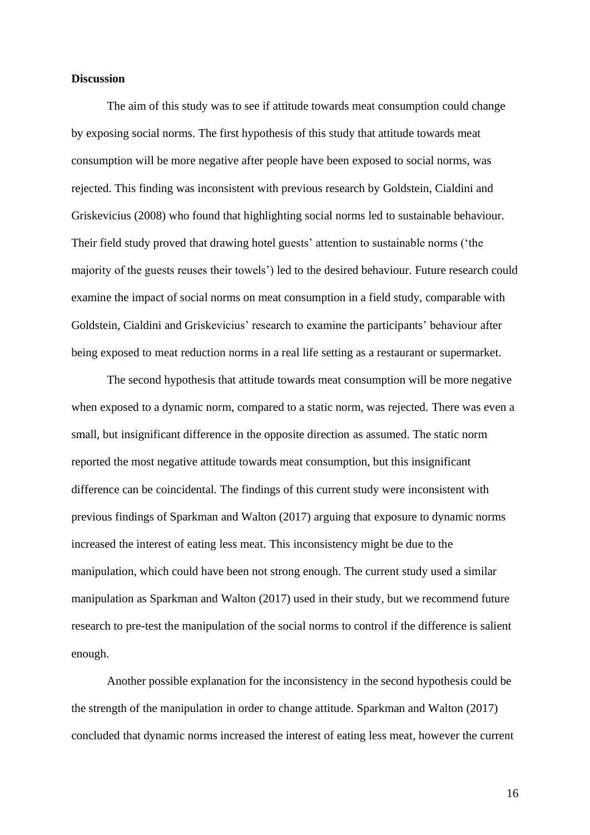## **Discussion**

The aim of this study was to see if attitude towards meat consumption could change by exposing social norms. The first hypothesis of this study that attitude towards meat consumption will be more negative after people have been exposed to social norms, was rejected. This finding was inconsistent with previous research by Goldstein, Cialdini and Griskevicius (2008) who found that highlighting social norms led to sustainable behaviour. Their field study proved that drawing hotel guests' attention to sustainable norms ('the majority of the guests reuses their towels') led to the desired behaviour. Future research could examine the impact of social norms on meat consumption in a field study, comparable with Goldstein, Cialdini and Griskevicius' research to examine the participants' behaviour after being exposed to meat reduction norms in a real life setting as a restaurant or supermarket.

The second hypothesis that attitude towards meat consumption will be more negative when exposed to a dynamic norm, compared to a static norm, was rejected. There was even a small, but insignificant difference in the opposite direction as assumed. The static norm reported the most negative attitude towards meat consumption, but this insignificant difference can be coincidental. The findings of this current study were inconsistent with previous findings of Sparkman and Walton (2017) arguing that exposure to dynamic norms increased the interest of eating less meat. This inconsistency might be due to the manipulation, which could have been not strong enough. The current study used a similar manipulation as Sparkman and Walton (2017) used in their study, but we recommend future research to pre-test the manipulation of the social norms to control if the difference is salient enough.

Another possible explanation for the inconsistency in the second hypothesis could be the strength of the manipulation in order to change attitude. Sparkman and Walton (2017) concluded that dynamic norms increased the interest of eating less meat, however the current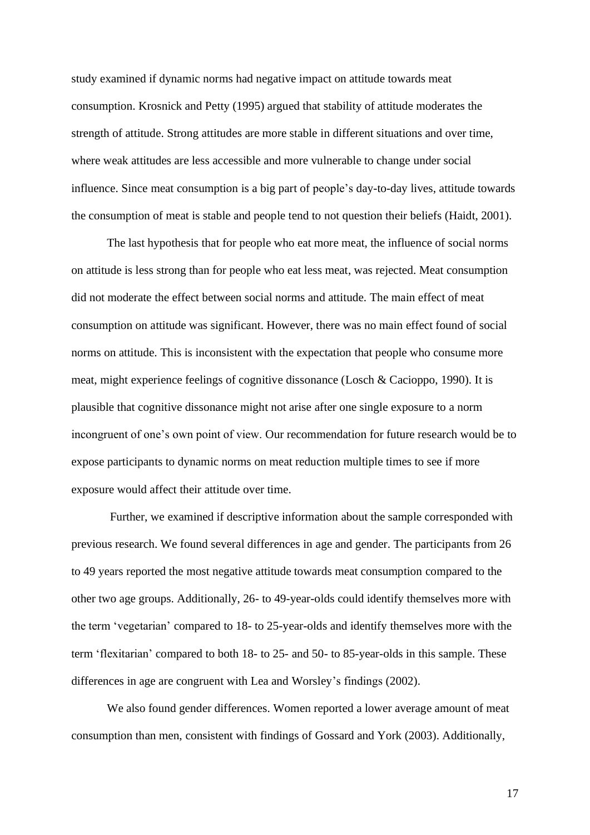study examined if dynamic norms had negative impact on attitude towards meat consumption. Krosnick and Petty (1995) argued that stability of attitude moderates the strength of attitude. Strong attitudes are more stable in different situations and over time, where weak attitudes are less accessible and more vulnerable to change under social influence. Since meat consumption is a big part of people's day-to-day lives, attitude towards the consumption of meat is stable and people tend to not question their beliefs (Haidt, 2001).

The last hypothesis that for people who eat more meat, the influence of social norms on attitude is less strong than for people who eat less meat, was rejected. Meat consumption did not moderate the effect between social norms and attitude. The main effect of meat consumption on attitude was significant. However, there was no main effect found of social norms on attitude. This is inconsistent with the expectation that people who consume more meat, might experience feelings of cognitive dissonance (Losch & Cacioppo, 1990). It is plausible that cognitive dissonance might not arise after one single exposure to a norm incongruent of one's own point of view. Our recommendation for future research would be to expose participants to dynamic norms on meat reduction multiple times to see if more exposure would affect their attitude over time.

Further, we examined if descriptive information about the sample corresponded with previous research. We found several differences in age and gender. The participants from 26 to 49 years reported the most negative attitude towards meat consumption compared to the other two age groups. Additionally, 26- to 49-year-olds could identify themselves more with the term 'vegetarian' compared to 18- to 25-year-olds and identify themselves more with the term 'flexitarian' compared to both 18- to 25- and 50- to 85-year-olds in this sample. These differences in age are congruent with Lea and Worsley's findings (2002).

We also found gender differences. Women reported a lower average amount of meat consumption than men, consistent with findings of Gossard and York (2003). Additionally,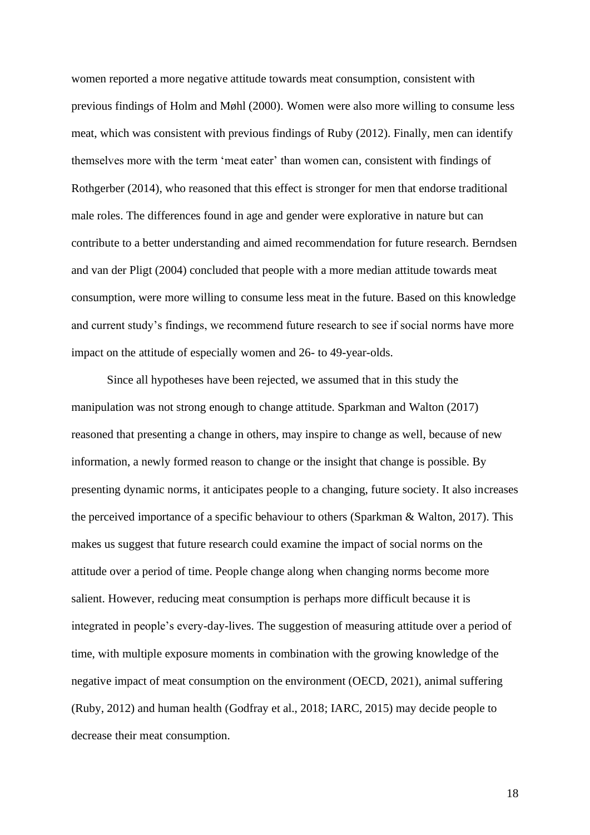women reported a more negative attitude towards meat consumption, consistent with previous findings of Holm and Møhl (2000). Women were also more willing to consume less meat, which was consistent with previous findings of Ruby (2012). Finally, men can identify themselves more with the term 'meat eater' than women can, consistent with findings of Rothgerber (2014), who reasoned that this effect is stronger for men that endorse traditional male roles. The differences found in age and gender were explorative in nature but can contribute to a better understanding and aimed recommendation for future research. Berndsen and van der Pligt (2004) concluded that people with a more median attitude towards meat consumption, were more willing to consume less meat in the future. Based on this knowledge and current study's findings, we recommend future research to see if social norms have more impact on the attitude of especially women and 26- to 49-year-olds.

Since all hypotheses have been rejected, we assumed that in this study the manipulation was not strong enough to change attitude. Sparkman and Walton (2017) reasoned that presenting a change in others, may inspire to change as well, because of new information, a newly formed reason to change or the insight that change is possible. By presenting dynamic norms, it anticipates people to a changing, future society. It also increases the perceived importance of a specific behaviour to others (Sparkman & Walton, 2017). This makes us suggest that future research could examine the impact of social norms on the attitude over a period of time. People change along when changing norms become more salient. However, reducing meat consumption is perhaps more difficult because it is integrated in people's every-day-lives. The suggestion of measuring attitude over a period of time, with multiple exposure moments in combination with the growing knowledge of the negative impact of meat consumption on the environment (OECD, 2021), animal suffering (Ruby, 2012) and human health (Godfray et al., 2018; IARC, 2015) may decide people to decrease their meat consumption.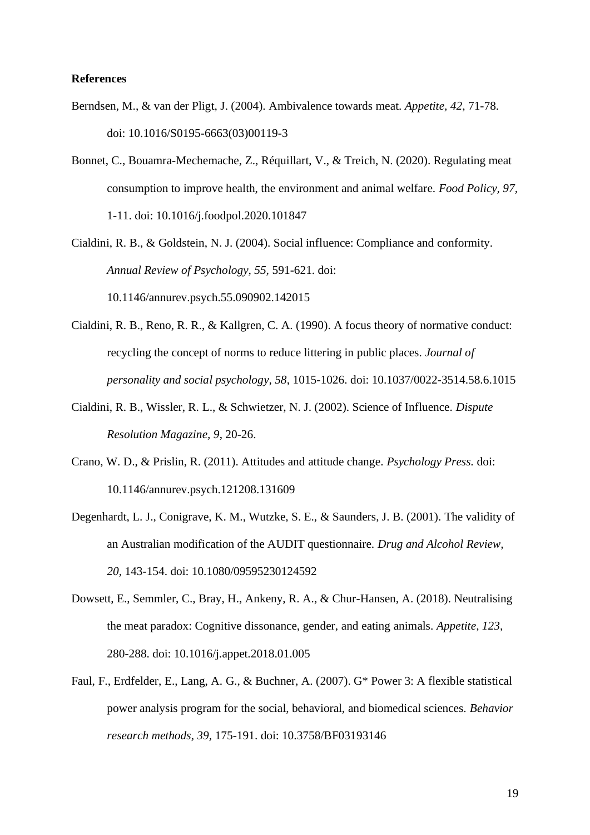## **References**

- Berndsen, M., & van der Pligt, J. (2004). Ambivalence towards meat. *Appetite, 42*, 71-78. doi: 10.1016/S0195-6663(03)00119-3
- Bonnet, C., Bouamra-Mechemache, Z., Réquillart, V., & Treich, N. (2020). Regulating meat consumption to improve health, the environment and animal welfare. *Food Policy, 97,* 1-11. doi: 10.1016/j.foodpol.2020.101847
- Cialdini, R. B., & Goldstein, N. J. (2004). Social influence: Compliance and conformity. *Annual Review of Psychology, 55,* 591-621. doi:

10.1146/annurev.psych.55.090902.142015

- Cialdini, R. B., Reno, R. R., & Kallgren, C. A. (1990). A focus theory of normative conduct: recycling the concept of norms to reduce littering in public places. *Journal of personality and social psychology, 58*, 1015-1026. doi: 10.1037/0022-3514.58.6.1015
- Cialdini, R. B., Wissler, R. L., & Schwietzer, N. J. (2002). Science of Influence. *Dispute Resolution Magazine, 9*, 20-26.
- Crano, W. D., & Prislin, R. (2011). Attitudes and attitude change. *Psychology Press.* doi: 10.1146/annurev.psych.121208.131609
- Degenhardt, L. J., Conigrave, K. M., Wutzke, S. E., & Saunders, J. B. (2001). The validity of an Australian modification of the AUDIT questionnaire. *Drug and Alcohol Review, 20*, 143-154. doi: 10.1080/09595230124592
- Dowsett, E., Semmler, C., Bray, H., Ankeny, R. A., & Chur-Hansen, A. (2018). Neutralising the meat paradox: Cognitive dissonance, gender, and eating animals. *Appetite, 123,* 280-288. doi: 10.1016/j.appet.2018.01.005
- Faul, F., Erdfelder, E., Lang, A. G., & Buchner, A. (2007). G\* Power 3: A flexible statistical power analysis program for the social, behavioral, and biomedical sciences. *Behavior research methods, 39,* 175-191. doi: 10.3758/BF03193146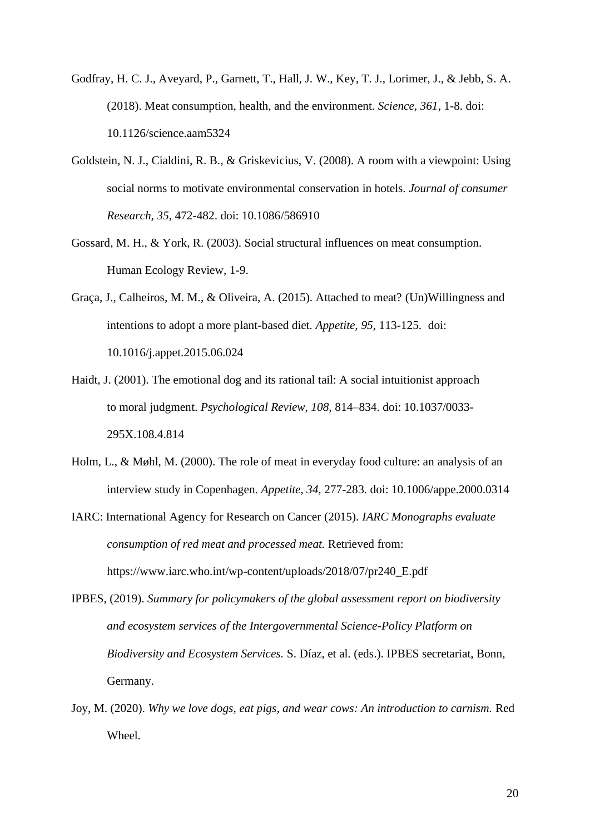- Godfray, H. C. J., Aveyard, P., Garnett, T., Hall, J. W., Key, T. J., Lorimer, J., & Jebb, S. A. (2018). Meat consumption, health, and the environment. *Science, 361*, 1-8. doi: 10.1126/science.aam5324
- Goldstein, N. J., Cialdini, R. B., & Griskevicius, V. (2008). A room with a viewpoint: Using social norms to motivate environmental conservation in hotels. *Journal of consumer Research, 35,* 472-482. doi: 10.1086/586910
- Gossard, M. H., & York, R. (2003). Social structural influences on meat consumption. Human Ecology Review, 1-9.
- Graça, J., Calheiros, M. M., & Oliveira, A. (2015). Attached to meat? (Un)Willingness and intentions to adopt a more plant-based diet. *Appetite, 95,* 113-125. doi: 10.1016/j.appet.2015.06.024
- Haidt, J. (2001). The emotional dog and its rational tail: A social intuitionist approach to moral judgment. *Psychological Review, 108,* 814–834. doi: 10.1037/0033- 295X.108.4.814
- Holm, L., & Møhl, M. (2000). The role of meat in everyday food culture: an analysis of an interview study in Copenhagen. *Appetite, 34,* 277-283. doi: 10.1006/appe.2000.0314
- IARC: International Agency for Research on Cancer (2015). *IARC Monographs evaluate consumption of red meat and processed meat.* Retrieved from: https://www.iarc.who.int/wp-content/uploads/2018/07/pr240\_E.pdf
- IPBES, (2019). *Summary for policymakers of the global assessment report on biodiversity and ecosystem services of the Intergovernmental Science-Policy Platform on Biodiversity and Ecosystem Services.* S. Díaz, et al. (eds.). IPBES secretariat, Bonn, Germany.
- Joy, M. (2020). *Why we love dogs, eat pigs, and wear cows: An introduction to carnism.* Red Wheel.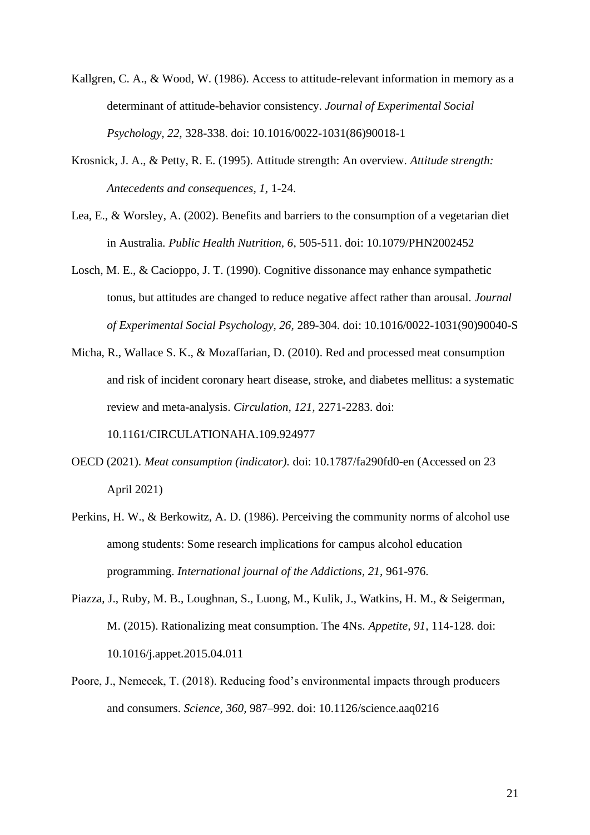- Kallgren, C. A., & Wood, W. (1986). Access to attitude-relevant information in memory as a determinant of attitude-behavior consistency. *Journal of Experimental Social Psychology, 22,* 328-338. doi: 10.1016/0022-1031(86)90018-1
- Krosnick, J. A., & Petty, R. E. (1995). Attitude strength: An overview. *Attitude strength: Antecedents and consequences, 1,* 1-24.
- Lea, E., & Worsley, A. (2002). Benefits and barriers to the consumption of a vegetarian diet in Australia. *Public Health Nutrition, 6*, 505-511. doi: 10.1079/PHN2002452
- Losch, M. E., & Cacioppo, J. T. (1990). Cognitive dissonance may enhance sympathetic tonus, but attitudes are changed to reduce negative affect rather than arousal. *Journal of Experimental Social Psychology, 26,* 289-304. doi: 10.1016/0022-1031(90)90040-S
- Micha, R., Wallace S. K., & Mozaffarian, D. (2010). Red and processed meat consumption and risk of incident coronary heart disease, stroke, and diabetes mellitus: a systematic review and meta-analysis. *Circulation, 121,* 2271-2283. doi:

10.1161/CIRCULATIONAHA.109.924977

- OECD (2021). *Meat consumption (indicator).* doi: 10.1787/fa290fd0-en (Accessed on 23 April 2021)
- Perkins, H. W., & Berkowitz, A. D. (1986). Perceiving the community norms of alcohol use among students: Some research implications for campus alcohol education programming. *International journal of the Addictions, 21,* 961-976.
- Piazza, J., Ruby, M. B., Loughnan, S., Luong, M., Kulik, J., Watkins, H. M., & Seigerman, M. (2015). Rationalizing meat consumption. The 4Ns. *Appetite, 91,* 114-128. doi: 10.1016/j.appet.2015.04.011
- Poore, J., Nemecek, T. (2018). Reducing food's environmental impacts through producers and consumers. *Science, 360,* 987–992. doi: 10.1126/science.aaq0216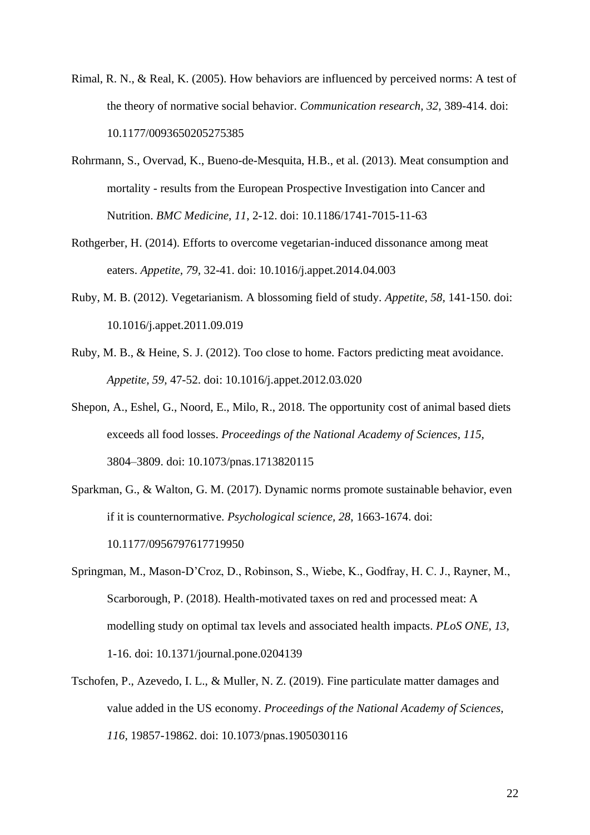- Rimal, R. N., & Real, K. (2005). How behaviors are influenced by perceived norms: A test of the theory of normative social behavior. *Communication research, 32,* 389-414. doi: 10.1177/0093650205275385
- Rohrmann, S., Overvad, K., Bueno-de-Mesquita, H.B., et al. (2013). Meat consumption and mortality - results from the European Prospective Investigation into Cancer and Nutrition. *BMC Medicine, 11*, 2-12. doi: 10.1186/1741-7015-11-63
- Rothgerber, H. (2014). Efforts to overcome vegetarian-induced dissonance among meat eaters. *Appetite, 79,* 32-41. doi: 10.1016/j.appet.2014.04.003
- Ruby, M. B. (2012). Vegetarianism. A blossoming field of study. *Appetite, 58,* 141-150. doi: 10.1016/j.appet.2011.09.019
- Ruby, M. B., & Heine, S. J. (2012). Too close to home. Factors predicting meat avoidance. *Appetite, 59,* 47-52. doi: 10.1016/j.appet.2012.03.020
- Shepon, A., Eshel, G., Noord, E., Milo, R., 2018. The opportunity cost of animal based diets exceeds all food losses. *Proceedings of the National Academy of Sciences, 115,*  3804–3809. doi: 10.1073/pnas.1713820115
- Sparkman, G., & Walton, G. M. (2017). Dynamic norms promote sustainable behavior, even if it is counternormative. *Psychological science, 28*, 1663-1674. doi: 10.1177/0956797617719950
- Springman, M., Mason-D'Croz, D., Robinson, S., Wiebe, K., Godfray, H. C. J., Rayner, M., Scarborough, P. (2018). Health-motivated taxes on red and processed meat: A modelling study on optimal tax levels and associated health impacts. *PLoS ONE, 13,* 1-16. doi: 10.1371/journal.pone.0204139
- Tschofen, P., Azevedo, I. L., & Muller, N. Z. (2019). Fine particulate matter damages and value added in the US economy. *Proceedings of the National Academy of Sciences, 116,* 19857-19862. doi: 10.1073/pnas.1905030116